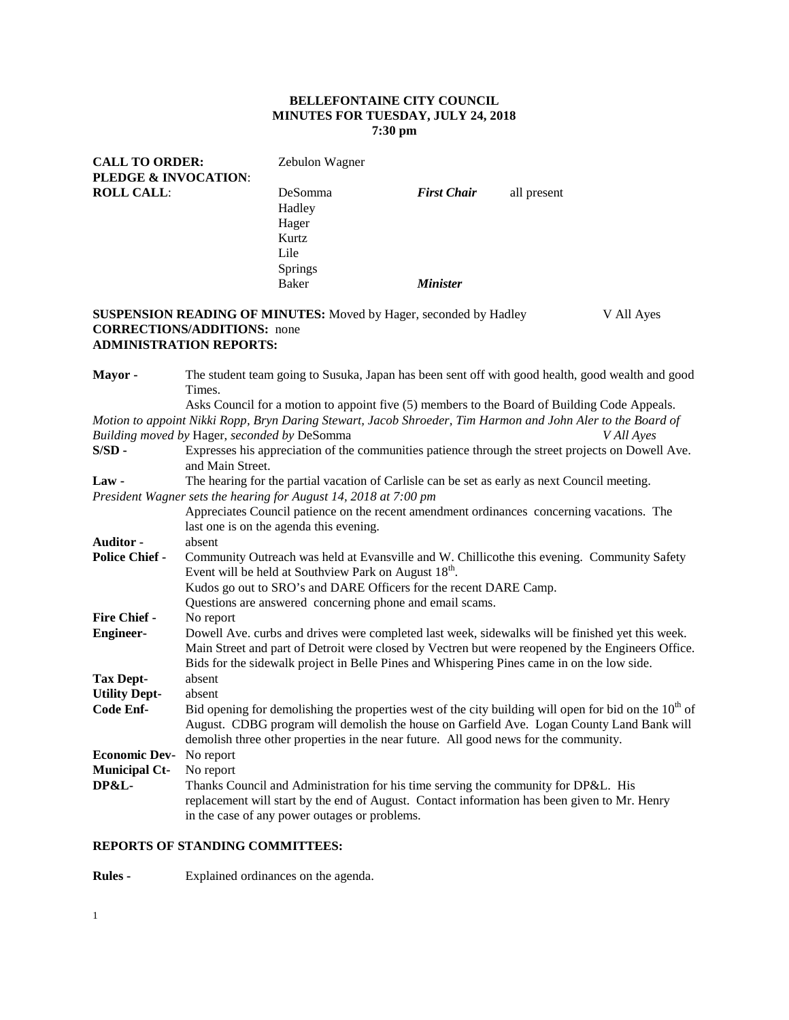## **BELLEFONTAINE CITY COUNCIL MINUTES FOR TUESDAY, JULY 24, 2018 7:30 pm**

| <b>CALL TO ORDER:</b>           | Zebulon Wagner                                                |                        |             |
|---------------------------------|---------------------------------------------------------------|------------------------|-------------|
| <b>PLEDGE &amp; INVOCATION:</b> |                                                               |                        |             |
| <b>ROLL CALL:</b>               | DeSomma<br>Hadley<br>Hager<br>Kurtz<br>Lile<br><b>Springs</b> | <b>First Chair</b>     | all present |
|                                 | Baker                                                         | <i><b>Minister</b></i> |             |

### **SUSPENSION READING OF MINUTES:** Moved by Hager, seconded by Hadley V All Ayes **CORRECTIONS/ADDITIONS:** none **ADMINISTRATION REPORTS:**

| Mayor -               | The student team going to Susuka, Japan has been sent off with good health, good wealth and good                                                                                                                                                                                                    |
|-----------------------|-----------------------------------------------------------------------------------------------------------------------------------------------------------------------------------------------------------------------------------------------------------------------------------------------------|
|                       | Times.                                                                                                                                                                                                                                                                                              |
|                       | Asks Council for a motion to appoint five (5) members to the Board of Building Code Appeals.                                                                                                                                                                                                        |
|                       | Motion to appoint Nikki Ropp, Bryn Daring Stewart, Jacob Shroeder, Tim Harmon and John Aler to the Board of                                                                                                                                                                                         |
|                       | Building moved by Hager, seconded by DeSomma<br>V All Ayes                                                                                                                                                                                                                                          |
| $S/SD$ -              | Expresses his appreciation of the communities patience through the street projects on Dowell Ave.<br>and Main Street.                                                                                                                                                                               |
| Law-                  | The hearing for the partial vacation of Carlisle can be set as early as next Council meeting.                                                                                                                                                                                                       |
|                       | President Wagner sets the hearing for August 14, 2018 at 7:00 pm                                                                                                                                                                                                                                    |
|                       | Appreciates Council patience on the recent amendment ordinances concerning vacations. The<br>last one is on the agenda this evening.                                                                                                                                                                |
| <b>Auditor -</b>      | absent                                                                                                                                                                                                                                                                                              |
| <b>Police Chief -</b> | Community Outreach was held at Evansville and W. Chillicothe this evening. Community Safety<br>Event will be held at Southview Park on August 18 <sup>th</sup> .                                                                                                                                    |
|                       | Kudos go out to SRO's and DARE Officers for the recent DARE Camp.                                                                                                                                                                                                                                   |
|                       | Questions are answered concerning phone and email scams.                                                                                                                                                                                                                                            |
| <b>Fire Chief -</b>   | No report                                                                                                                                                                                                                                                                                           |
| <b>Engineer-</b>      | Dowell Ave. curbs and drives were completed last week, sidewalks will be finished yet this week.<br>Main Street and part of Detroit were closed by Vectren but were reopened by the Engineers Office.<br>Bids for the sidewalk project in Belle Pines and Whispering Pines came in on the low side. |
| <b>Tax Dept-</b>      | absent                                                                                                                                                                                                                                                                                              |
| <b>Utility Dept-</b>  | absent                                                                                                                                                                                                                                                                                              |
| Code Enf-             | Bid opening for demolishing the properties west of the city building will open for bid on the $10th$ of<br>August. CDBG program will demolish the house on Garfield Ave. Logan County Land Bank will<br>demolish three other properties in the near future. All good news for the community.        |
| <b>Economic Dev-</b>  | No report                                                                                                                                                                                                                                                                                           |
| <b>Municipal Ct-</b>  | No report                                                                                                                                                                                                                                                                                           |
| <b>DP&amp;L-</b>      | Thanks Council and Administration for his time serving the community for DP&L. His<br>replacement will start by the end of August. Contact information has been given to Mr. Henry<br>in the case of any power outages or problems.                                                                 |

# **REPORTS OF STANDING COMMITTEES:**

**Rules -** Explained ordinances on the agenda.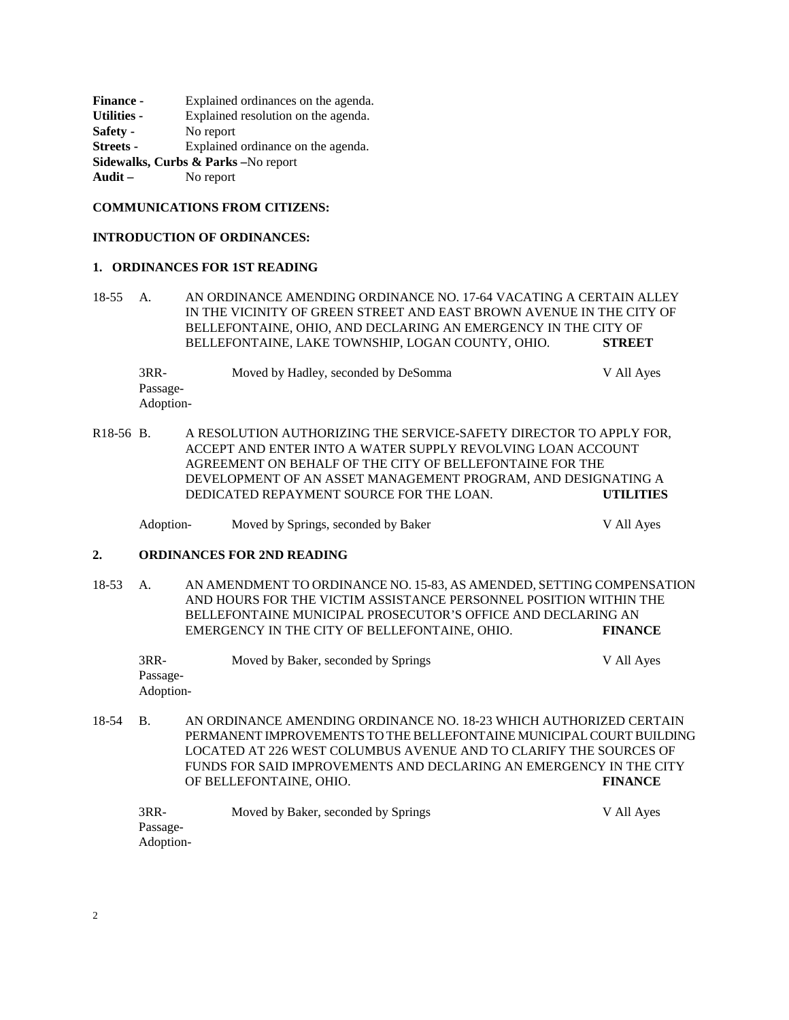**Finance -** Explained ordinances on the agenda. **Utilities -** Explained resolution on the agenda. **Safety -** No report **Streets -** Explained ordinance on the agenda. **Sidewalks, Curbs & Parks –**No report **Audit –** No report

### **COMMUNICATIONS FROM CITIZENS:**

### **INTRODUCTION OF ORDINANCES:**

#### **1. ORDINANCES FOR 1ST READING**

18-55 A. AN ORDINANCE AMENDING ORDINANCE NO. 17-64 VACATING A CERTAIN ALLEY IN THE VICINITY OF GREEN STREET AND EAST BROWN AVENUE IN THE CITY OF BELLEFONTAINE, OHIO, AND DECLARING AN EMERGENCY IN THE CITY OF BELLEFONTAINE, LAKE TOWNSHIP, LOGAN COUNTY, OHIO. **STREET**

3RR- Moved by Hadley, seconded by DeSomma V All Ayes Passage-Adoption-

R18-56 B. A RESOLUTION AUTHORIZING THE SERVICE-SAFETY DIRECTOR TO APPLY FOR, ACCEPT AND ENTER INTO A WATER SUPPLY REVOLVING LOAN ACCOUNT AGREEMENT ON BEHALF OF THE CITY OF BELLEFONTAINE FOR THE DEVELOPMENT OF AN ASSET MANAGEMENT PROGRAM, AND DESIGNATING A DEDICATED REPAYMENT SOURCE FOR THE LOAN. **UTILITIES**

Adoption- Moved by Springs, seconded by Baker V All Ayes

### **2. ORDINANCES FOR 2ND READING**

18-53 A. AN AMENDMENT TO ORDINANCE NO. 15-83, AS AMENDED, SETTING COMPENSATION AND HOURS FOR THE VICTIM ASSISTANCE PERSONNEL POSITION WITHIN THE BELLEFONTAINE MUNICIPAL PROSECUTOR'S OFFICE AND DECLARING AN EMERGENCY IN THE CITY OF BELLEFONTAINE, OHIO. **FINANCE**

| 3RR-      | Moved by Baker, seconded by Springs | V All Aves |
|-----------|-------------------------------------|------------|
| Passage-  |                                     |            |
| Adoption- |                                     |            |

18-54 B. AN ORDINANCE AMENDING ORDINANCE NO. 18-23 WHICH AUTHORIZED CERTAIN PERMANENT IMPROVEMENTS TO THE BELLEFONTAINE MUNICIPAL COURT BUILDING LOCATED AT 226 WEST COLUMBUS AVENUE AND TO CLARIFY THE SOURCES OF FUNDS FOR SAID IMPROVEMENTS AND DECLARING AN EMERGENCY IN THE CITY OF BELLEFONTAINE, OHIO. **FINANCE**

| $3RR-$    | Moved by Baker, seconded by Springs | V All Ayes |
|-----------|-------------------------------------|------------|
| Passage-  |                                     |            |
| Adoption- |                                     |            |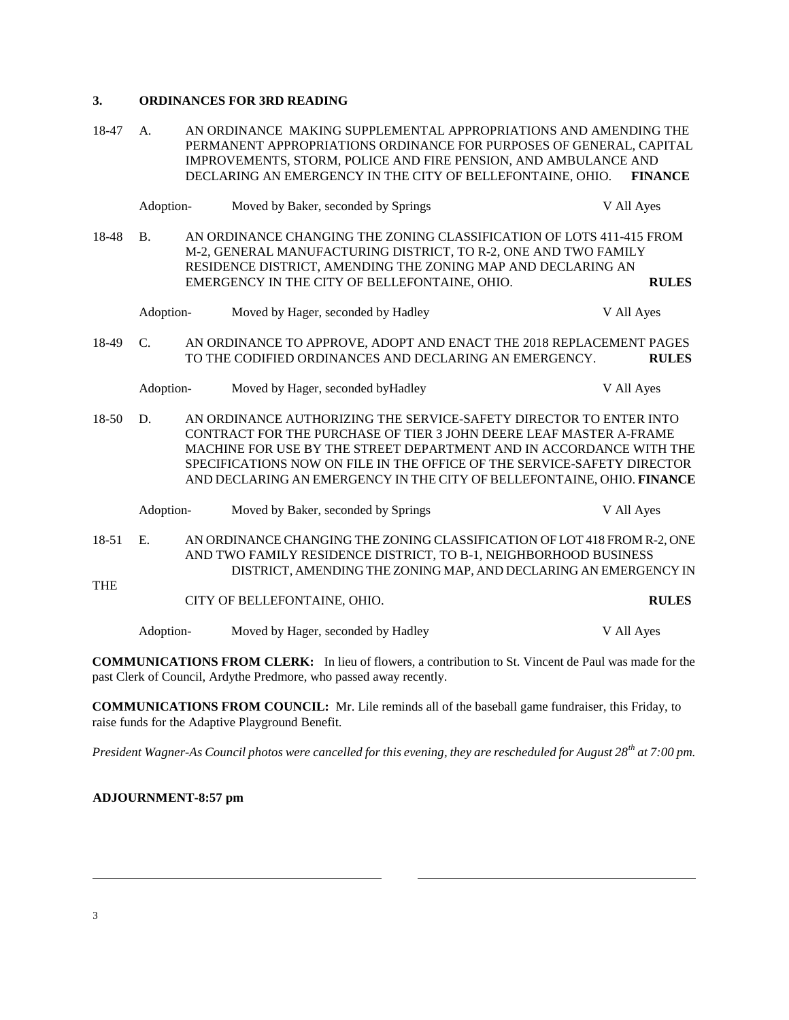## **3. ORDINANCES FOR 3RD READING**

18-47 A. AN ORDINANCE MAKING SUPPLEMENTAL APPROPRIATIONS AND AMENDING THE PERMANENT APPROPRIATIONS ORDINANCE FOR PURPOSES OF GENERAL, CAPITAL IMPROVEMENTS, STORM, POLICE AND FIRE PENSION, AND AMBULANCE AND DECLARING AN EMERGENCY IN THE CITY OF BELLEFONTAINE, OHIO. **FINANCE**

|              | Adoption-      | Moved by Baker, seconded by Springs                                                                                                                                                                                                                                                                                                                                  | V All Ayes |              |
|--------------|----------------|----------------------------------------------------------------------------------------------------------------------------------------------------------------------------------------------------------------------------------------------------------------------------------------------------------------------------------------------------------------------|------------|--------------|
| 18-48        | B <sub>1</sub> | AN ORDINANCE CHANGING THE ZONING CLASSIFICATION OF LOTS 411-415 FROM<br>M-2, GENERAL MANUFACTURING DISTRICT, TO R-2, ONE AND TWO FAMILY<br>RESIDENCE DISTRICT, AMENDING THE ZONING MAP AND DECLARING AN<br>EMERGENCY IN THE CITY OF BELLEFONTAINE, OHIO.                                                                                                             |            | <b>RULES</b> |
|              | Adoption-      | Moved by Hager, seconded by Hadley                                                                                                                                                                                                                                                                                                                                   | V All Ayes |              |
| 18-49        | $C_{\cdot}$    | AN ORDINANCE TO APPROVE, ADOPT AND ENACT THE 2018 REPLACEMENT PAGES<br>TO THE CODIFIED ORDINANCES AND DECLARING AN EMERGENCY.                                                                                                                                                                                                                                        |            | <b>RULES</b> |
|              | Adoption-      | Moved by Hager, seconded by Hadley                                                                                                                                                                                                                                                                                                                                   | V All Ayes |              |
| $18 - 50$    | D.             | AN ORDINANCE AUTHORIZING THE SERVICE-SAFETY DIRECTOR TO ENTER INTO<br>CONTRACT FOR THE PURCHASE OF TIER 3 JOHN DEERE LEAF MASTER A-FRAME<br>MACHINE FOR USE BY THE STREET DEPARTMENT AND IN ACCORDANCE WITH THE<br>SPECIFICATIONS NOW ON FILE IN THE OFFICE OF THE SERVICE-SAFETY DIRECTOR<br>AND DECLARING AN EMERGENCY IN THE CITY OF BELLEFONTAINE, OHIO. FINANCE |            |              |
|              | Adoption-      | Moved by Baker, seconded by Springs                                                                                                                                                                                                                                                                                                                                  | V All Ayes |              |
| 18-51<br>THE | E.             | AN ORDINANCE CHANGING THE ZONING CLASSIFICATION OF LOT 418 FROM R-2, ONE<br>AND TWO FAMILY RESIDENCE DISTRICT, TO B-1, NEIGHBORHOOD BUSINESS<br>DISTRICT, AMENDING THE ZONING MAP, AND DECLARING AN EMERGENCY IN                                                                                                                                                     |            |              |
|              |                | CITY OF BELLEFONTAINE, OHIO.                                                                                                                                                                                                                                                                                                                                         |            | <b>RULES</b> |
|              | Adoption-      | Moved by Hager, seconded by Hadley                                                                                                                                                                                                                                                                                                                                   | V All Ayes |              |
|              |                | <b>COMMUNICATIONS FROM CLERK.</b> In lieu of flowers a contribution to St. Vincent de Paul was made for the                                                                                                                                                                                                                                                          |            |              |

**MMUNICATIONS FROM CLERK:** In lieu of flowers, a contribution to St. Vincent de Paul was made for the past Clerk of Council, Ardythe Predmore, who passed away recently.

**COMMUNICATIONS FROM COUNCIL:** Mr. Lile reminds all of the baseball game fundraiser, this Friday, to raise funds for the Adaptive Playground Benefit.

*President Wagner-As Council photos were cancelled for this evening, they are rescheduled for August 28th at 7:00 pm.*

**ADJOURNMENT-8:57 pm**

l